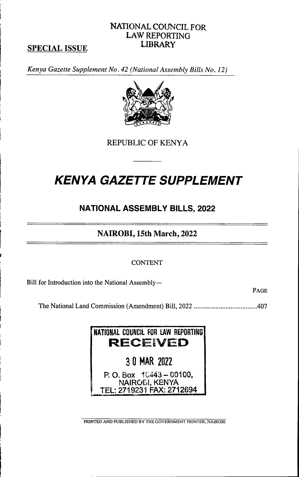# SPECIAL ISSUE

Kenya Gazette Supplement No. 42 (National Assembly Bills No. 12)



NATIONAL COUNCIL FOR LAW REPORTING **LIBRARY** 

REPUBLIC OF KENYA

# **KENYA GAZETTE SUPPLEMENT**

# NATIONAL ASSEMBLY BILLS, 2022

# NAIROBI, 15th March, 2022

#### **CONTENT**

Bill for Introduction into the National Assembly—

I

PAGE

The National Land Commission (Amendment) Bill, 2022 .4 0 7



PRINTED AND PUBLISHED BY THE GOVERNMENT PRINTER, NAIROBI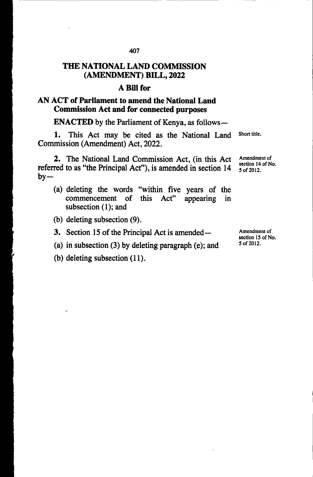#### THE NATIONAL LAND COMMISSION (AMENDMENT) BILL, 2022

#### A Bill for

## AN ACT of Parliament to amend the National Land Commission Act and for connected purposes

ENACTED by the Parliament of Kenya, as follows—

1. This Act may be cited as the National Land Commission (Amendment) Act, 2022. Short title.

2. The National Land Commission Act, (in this Act referred to as "the Principal Act"), is amended in section 14  $by -$ 

- (a) deleting the words "within five years of the commencement of this  $Act$ " appearing in commencement of this Act" subsection (1); and appearing
- (b) deleting subsection (9).
- 3. Section 15 of the Principal Act is amended—
- (a) in subsection (3) by deleting paragraph (e); and
- (b) deleting subsection (11).

J.

Amendment of section 14 of No. 5 of 2012.

Amendment of section 15 of No. 5 of 20 12 .

407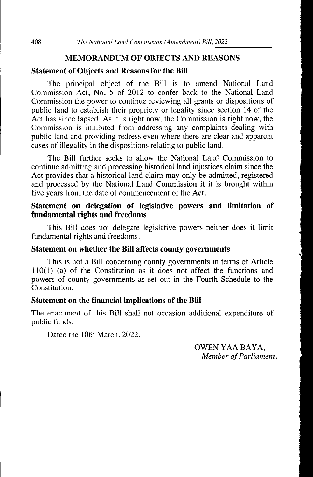#### MEMORANDUM OF OBJECTS AND REASONS

#### Statement of Objects and Reasons for the Bill

The principal object of the Bill is to amend National Land Commission Act, No. 5 of 2012 to confer back to the National Land Commission the power to continue reviewing all grants or dispositions of public land to establish their propriety or legality since section 14 of the Act has since lapsed. As it is right now, the Commission is right now, the Commission is inhibited from addressing any complaints dealing with public land and providing redress even where there are clear and apparent cases of illegality in the dispositions relating to public land.

The Bill further seeks to allow the National Land Commission to continue admitting and processing historical land injustices claim since the Act provides that a historical land claim may only be admitted, registered and processed by the National Land Commission if it is brought within five years from the date of commencement of the Act.

### Statement on delegation of legislative powers and limitation of fundamental rights and freedoms

This Bill does not delegate legislative powers neither does it limit fundamental rights and freedoms.

#### Statement on whether the Bill affects county governments

This is not a Bill concerning county governments in terms of Article  $110(1)$  (a) of the Constitution as it does not affect the functions and powers of county governments as set out in the Fourth Schedule to the Constitution.

#### Statement on the financial implications of the Bill

The enactment of this Bill shall not occasion additional expenditure of public funds.

Dated the 10th March, 2022.

OWEN YAA BAYA. Member of Parliament.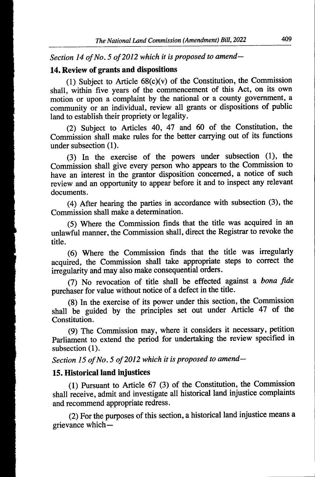Section 14 of No. 5 of 2012 which it is proposed to amend—

### 14. Review of grants and dispositions

(1) Subject to Article  $68(c)(v)$  of the Constitution, the Commission shall, within five years of the commencement of this Act, on its own motion or upon a complaint by the national or a county government, a community or an individual, review all grants or dispositions of public land to establish their propriety or legality.

(2) Subject to Articles 40, 47 and 60 of the Constitution, the Commission shall make rules for the better carrying out of its functions under subsection (1).

(3) In the exercise of the powers under subsection (1), the Commission shall give every person who appears to the Commission to have an interest in the grantor disposition concerned, a notice of such review and an opportunity to appear before it and to inspect any relevant documents.

(4) After hearing the parties in accordance with subsection (3), the Commission shall make a determination.

(5) Where the Commission finds that the title was acquired in an unlawful manner, the Commission shall, direct the Registrar to revoke the title.

(6) Where the Commission finds that the title was irregularly acquired, the Commission shall take appropriate steps to correct the irregularity and may also make consequential orders.

(7) No revocation of title shall be effected against a bona fide purchaser for value without notice of a defect in the title.

 $(8)$  In the exercise of its power under this section, the Commission shall be guided by the principles set out under Article 47 of the Constitution.

(9) The Commission may, where it considers it necessary, petition Parliament to extend the period for undertaking the review specified in subsection (1).

Section 15 of No. 5 of 2012 which it is proposed to amend—

## 15. Historical land injustices

 $(1)$  Pursuant to Article 67  $(3)$  of the Constitution, the Commission shall receive, admit and investigate all historical land injustice complaints and recommend appropriate redress.

(2) For the purposes of this section, a historical land injustice means a grievance which—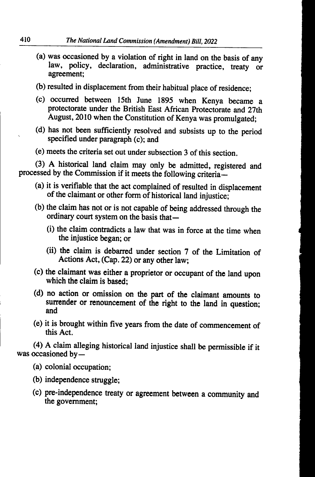- (a) was occasioned by a violation of right in land on the basis of any law, policy, declaration, administrative practice, treaty or agreement;
- (b) resulted in displacement from their habitual place of residence;
- (c) occurred between 15th June 1895 when Kenya became aprotectorate under the British East African Protectorate and 27th August, 2010 when the Constitution of Kenya was promulgated;
- (d) has not been sufficiently resolved and subsists up to the period specified under paragraph (c); and
- (e) meets the criteria set out under subsection 3 of this section.

(3) A historical land claim may only be admitted, registered and processed by the Commission if it meets the following criteria—

- (a) it is verifiable that the act complained of resulted in displacement of the claimant or other form of historical land injustice;
- (b) the claim has not or is not capable of being addressed through the ordinary court system on the basis that—
	- (i) the claim contradicts a law that was in force at the time when the injustice began; or
	- (ii) the claim is debarred under section 7 of the Limitation of Actions Act, (Cap. 22) or any other law;
- (c) the claimant was either a proprietor or occupant of the land upon which the claim is based:
- (d) no action or omission on the part of the claimant amounts to surrender or renouncement of the right to the land in question; and
- (e) it is brought within five years from the date of commencement of this Act.

 $(4)$  A claim alleging historical land injustice shall be permissible if it was occasioned by  $-$ 

- (a) colonial occupation;
- (b) independence struggle;
- (c) pre-independence treaty or agreement between a community and the government;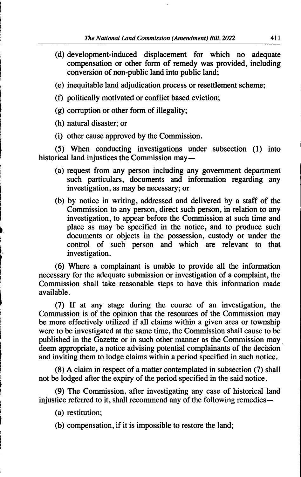- (d) development-induced displacement for which no adequate compensation or other form of remedy was provided, including conversion of non-public land into public land;
- (e) inequitable land adjudication process or resettlement scheme;
- (f) politically motivated or conflict based eviction;
- (g) corruption or other form of illegality;
- (h) natural disaster; or

i

(i) other cause approved by the Commission.

(5) When conducting investigations under subsection (1) into historical land injustices the Commission may—

- (a) request from any person including any government department such particulars, documents and information regarding any investigation, as may be necessary; or
- (b) by notice in writing, addressed and delivered by a staff of the Commission to any person, direct such person, in relation to any investigation, to appear before the Commission at such time and place as may be specified in the notice, and to produce such documents or objects in the possession, custody or under the control of such person and which are relevant to that investigation.

 $(6)$  Where a complainant is unable to provide all the information necessary for the adequate submission or investigation of a complaint, the Commission shall take reasonable steps to have this information made available.

(7) If at any stage during the course of an investigation, the Commission is of the opinion that the resources of the Commission may be more effectively utilized if all claims within a given area or township were to be investigated at the same time, the Commission shall cause to be published in the Gazette or in such other manner as the Commission may deem appropriate, a notice advising potential complainants of the decision and inviting them to lodge claims within a period specified in such notice.

(8) A claim in respect of a matter contemplated in subsection (7) shall not be lodged after the expiry of the period specified in the said notice .

(9) The Commission, after investigating any case of historical land injustice referred to it, shall recommend any of the following remedies—

- (a) restitution;
- (b) compensation, if it is impossible to restore the land;